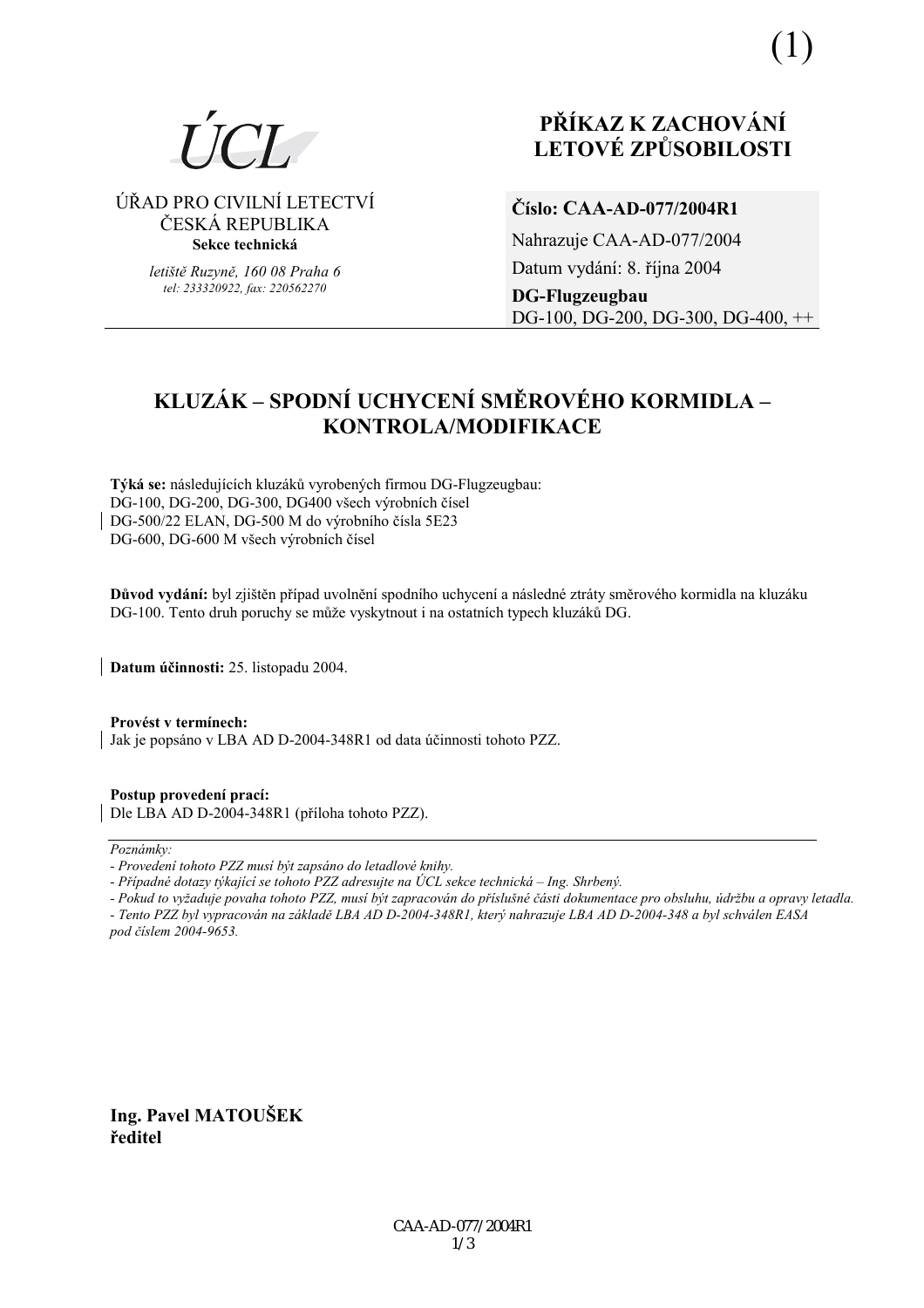

ÚŘAD PRO CIVILNÍ LETECTVÍ ČESKÁ REPUBLIKA Sekce technická

> letiště Ruzyně, 160 08 Praha 6 tel: 233320922. fax: 220562270

# PŘÍKAZ K ZACHOVÁNÍ **LETOVÉ ZPŮSOBILOSTI**

# Číslo: CAA-AD-077/2004R1

Nahrazuje CAA-AD-077/2004 Datum vydání: 8. října 2004 **DG-Flugzeugbau** DG-100, DG-200, DG-300, DG-400, ++

# KLUZÁK – SPODNÍ UCHYCENÍ SMĚROVÉHO KORMIDLA – KONTROLA/MODIFIKACE

Týká se: následujících kluzáků vyrobených firmou DG-Flugzeugbau: DG-100, DG-200, DG-300, DG400 všech výrobních čísel DG-500/22 ELAN, DG-500 M do výrobního čísla 5E23 DG-600, DG-600 M všech výrobních čísel

Důvod vydání: byl zjištěn případ uvolnění spodního uchycení a následné ztráty směrového kormidla na kluzáku DG-100. Tento druh poruchy se může vyskytnout i na ostatních typech kluzáků DG.

Datum účinnosti: 25. listopadu 2004.

Provést v termínech: Jak je popsáno v LBA AD D-2004-348R1 od data účinnosti tohoto PZZ.

Postup provedení prací: Dle LBA AD D-2004-348R1 (příloha tohoto PZZ).

#### Poznámky:

- Pokud to vyžaduje povaha tohoto PZZ, musí být zapracován do příslušné části dokumentace pro obsluhu, údržbu a opravy letadla.

- Tento PZZ byl vypracován na základě LBA AD D-2004-348R1, který nahrazuje LBA AD D-2004-348 a byl schválen EASA pod číslem 2004-9653.

Ing. Pavel MATOUŠEK ředitel

<sup>-</sup> Provedení tohoto PZZ musí být zapsáno do letadlové knihy.

<sup>-</sup> Případné dotazy týkající se tohoto PZZ adresujte na ÚCL sekce technická – Ing. Shrbený.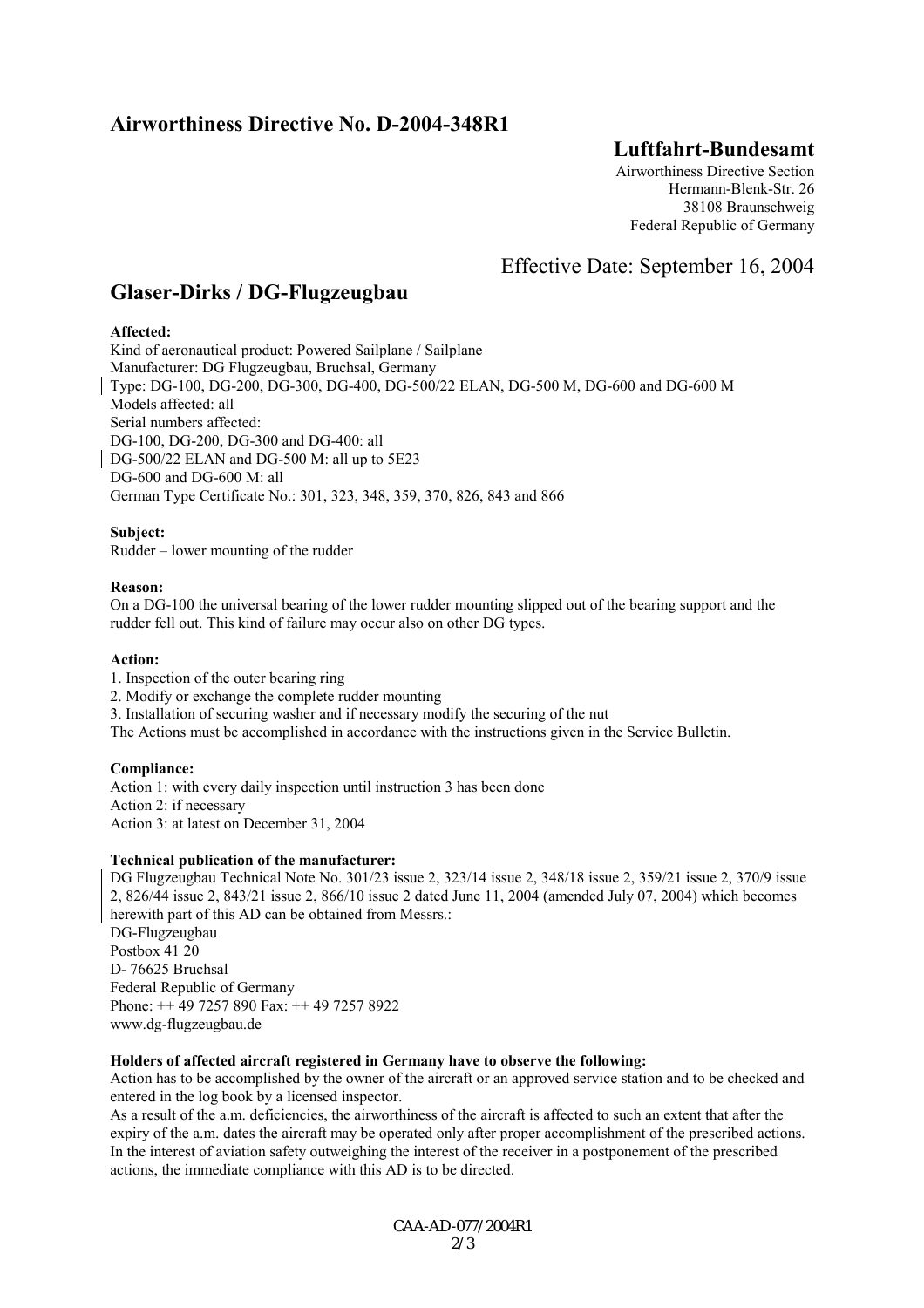## **Airworthiness Directive No. D-2004-348R1**

## **Luftfahrt-Bundesamt**

Airworthiness Directive Section Hermann-Blenk-Str. 26 38108 Braunschweig Federal Republic of Germany

Effective Date: September 16, 2004

## **Glaser-Dirks / DG-Flugzeugbau**

## **Affected:**

Kind of aeronautical product: Powered Sailplane / Sailplane Manufacturer: DG Flugzeugbau, Bruchsal, Germany Type: DG-100, DG-200, DG-300, DG-400, DG-500/22 ELAN, DG-500 M, DG-600 and DG-600 M Models affected: all Serial numbers affected: DG-100, DG-200, DG-300 and DG-400: all DG-500/22 ELAN and DG-500 M: all up to 5E23 DG-600 and DG-600 M: all German Type Certificate No.: 301, 323, 348, 359, 370, 826, 843 and 866

### **Subject:**

Rudder  $-$  lower mounting of the rudder

### **Reason:**

On a DG-100 the universal bearing of the lower rudder mounting slipped out of the bearing support and the rudder fell out. This kind of failure may occur also on other DG types.

#### **Action:**

- 1. Inspection of the outer bearing ring
- 2. Modify or exchange the complete rudder mounting
- 3. Installation of securing washer and if necessary modify the securing of the nut

The Actions must be accomplished in accordance with the instructions given in the Service Bulletin.

### **Compliance:**

Action 1: with every daily inspection until instruction 3 has been done Action 2: if necessary Action 3: at latest on December 31, 2004

### **Technical publication of the manufacturer:**

DG Flugzeugbau Technical Note No. 301/23 issue 2, 323/14 issue 2, 348/18 issue 2, 359/21 issue 2, 370/9 issue 2, 826/44 issue 2, 843/21 issue 2, 866/10 issue 2 dated June 11, 2004 (amended July 07, 2004) which becomes herewith part of this AD can be obtained from Messrs.: DG-Flugzeugbau Postbox 41 20 D- 76625 Bruchsal Federal Republic of Germany Phone: ++ 49 7257 890 Fax: ++ 49 7257 8922 www.dg-flugzeugbau.de

### **Holders of affected aircraft registered in Germany have to observe the following:**

Action has to be accomplished by the owner of the aircraft or an approved service station and to be checked and entered in the log book by a licensed inspector.

As a result of the a.m. deficiencies, the airworthiness of the aircraft is affected to such an extent that after the expiry of the a.m. dates the aircraft may be operated only after proper accomplishment of the prescribed actions. In the interest of aviation safety outweighing the interest of the receiver in a postponement of the prescribed actions, the immediate compliance with this AD is to be directed.